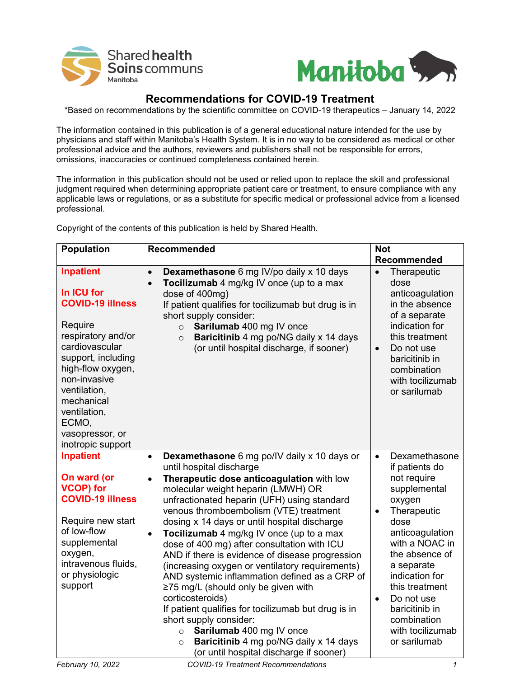



## **Recommendations for COVID-19 Treatment**

\*Based on recommendations by the scientific committee on COVID-19 therapeutics – January 14, 2022

The information contained in this publication is of a general educational nature intended for the use by physicians and staff within Manitoba's Health System. It is in no way to be considered as medical or other professional advice and the authors, reviewers and publishers shall not be responsible for errors, omissions, inaccuracies or continued completeness contained herein.

The information in this publication should not be used or relied upon to replace the skill and professional judgment required when determining appropriate patient care or treatment, to ensure compliance with any applicable laws or regulations, or as a substitute for specific medical or professional advice from a licensed professional.

Copyright of the contents of this publication is held by Shared Health.

| <b>Population</b>                                                                                                                                                                                                                                                      | Recommended                                                                                                                                                                                                                                                                                                                                                                                                                                                                                                                                                                                                                                                                                                                                                                                                                                                                     | <b>Not</b>                                                                                                                                                                                                                                                                                                                         |  |
|------------------------------------------------------------------------------------------------------------------------------------------------------------------------------------------------------------------------------------------------------------------------|---------------------------------------------------------------------------------------------------------------------------------------------------------------------------------------------------------------------------------------------------------------------------------------------------------------------------------------------------------------------------------------------------------------------------------------------------------------------------------------------------------------------------------------------------------------------------------------------------------------------------------------------------------------------------------------------------------------------------------------------------------------------------------------------------------------------------------------------------------------------------------|------------------------------------------------------------------------------------------------------------------------------------------------------------------------------------------------------------------------------------------------------------------------------------------------------------------------------------|--|
|                                                                                                                                                                                                                                                                        |                                                                                                                                                                                                                                                                                                                                                                                                                                                                                                                                                                                                                                                                                                                                                                                                                                                                                 | Recommended                                                                                                                                                                                                                                                                                                                        |  |
| <b>Inpatient</b><br>In ICU for<br><b>COVID-19 illness</b><br>Require<br>respiratory and/or<br>cardiovascular<br>support, including<br>high-flow oxygen,<br>non-invasive<br>ventilation,<br>mechanical<br>ventilation,<br>ECMO,<br>vasopressor, or<br>inotropic support | Dexamethasone 6 mg IV/po daily x 10 days<br>$\bullet$<br>Tocilizumab 4 mg/kg IV once (up to a max<br>$\bullet$<br>dose of 400mg)<br>If patient qualifies for tocilizumab but drug is in<br>short supply consider:<br>Sarilumab 400 mg IV once<br>$\circ$<br>Baricitinib 4 mg po/NG daily x 14 days<br>$\circ$<br>(or until hospital discharge, if sooner)                                                                                                                                                                                                                                                                                                                                                                                                                                                                                                                       | Therapeutic<br>dose<br>anticoagulation<br>in the absence<br>of a separate<br>indication for<br>this treatment<br>Do not use<br>$\bullet$<br>baricitinib in<br>combination<br>with tocilizumab<br>or sarilumab                                                                                                                      |  |
| <b>Inpatient</b><br>On ward (or<br><b>VCOP)</b> for<br><b>COVID-19 illness</b><br>Require new start<br>of low-flow<br>supplemental<br>oxygen,<br>intravenous fluids,<br>or physiologic<br>support                                                                      | Dexamethasone 6 mg po/IV daily x 10 days or<br>$\bullet$<br>until hospital discharge<br>Therapeutic dose anticoagulation with low<br>$\bullet$<br>molecular weight heparin (LMWH) OR<br>unfractionated heparin (UFH) using standard<br>venous thromboembolism (VTE) treatment<br>dosing x 14 days or until hospital discharge<br>Tocilizumab 4 mg/kg IV once (up to a max<br>$\bullet$<br>dose of 400 mg) after consultation with ICU<br>AND if there is evidence of disease progression<br>(increasing oxygen or ventilatory requirements)<br>AND systemic inflammation defined as a CRP of<br>≥75 mg/L (should only be given with<br>corticosteroids)<br>If patient qualifies for tocilizumab but drug is in<br>short supply consider:<br>Sarilumab 400 mg IV once<br>$\circ$<br>Baricitinib 4 mg po/NG daily x 14 days<br>$\circ$<br>(or until hospital discharge if sooner) | Dexamethasone<br>$\bullet$<br>if patients do<br>not require<br>supplemental<br>oxygen<br>Therapeutic<br>$\bullet$<br>dose<br>anticoagulation<br>with a NOAC in<br>the absence of<br>a separate<br>indication for<br>this treatment<br>Do not use<br>$\bullet$<br>baricitinib in<br>combination<br>with tocilizumab<br>or sarilumab |  |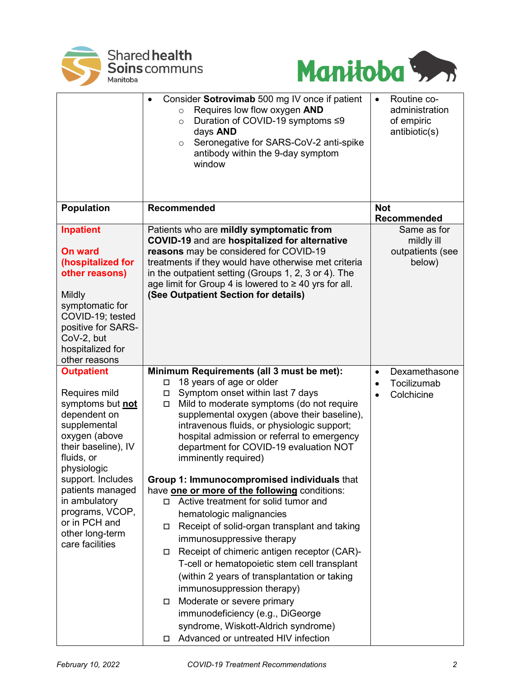



|                                     | Consider Sotrovimab 500 mg IV once if patient<br>$\bullet$<br>Requires low flow oxygen AND<br>$\circ$<br>Duration of COVID-19 symptoms ≤9<br>$\circ$<br>days AND<br>Seronegative for SARS-CoV-2 anti-spike<br>$\circ$<br>antibody within the 9-day symptom<br>window | Routine co-<br>$\bullet$<br>administration<br>of empiric<br>antibiotic(s) |
|-------------------------------------|----------------------------------------------------------------------------------------------------------------------------------------------------------------------------------------------------------------------------------------------------------------------|---------------------------------------------------------------------------|
| <b>Population</b>                   | Recommended                                                                                                                                                                                                                                                          | <b>Not</b><br>Recommended                                                 |
| <b>Inpatient</b>                    | Patients who are mildly symptomatic from<br>COVID-19 and are hospitalized for alternative                                                                                                                                                                            | Same as for<br>mildly ill                                                 |
| <b>On ward</b>                      | reasons may be considered for COVID-19                                                                                                                                                                                                                               | outpatients (see                                                          |
| (hospitalized for                   | treatments if they would have otherwise met criteria                                                                                                                                                                                                                 | below)                                                                    |
| other reasons)                      | in the outpatient setting (Groups 1, 2, 3 or 4). The                                                                                                                                                                                                                 |                                                                           |
|                                     | age limit for Group 4 is lowered to ≥ 40 yrs for all.                                                                                                                                                                                                                |                                                                           |
| <b>Mildly</b>                       | (See Outpatient Section for details)                                                                                                                                                                                                                                 |                                                                           |
| symptomatic for<br>COVID-19; tested |                                                                                                                                                                                                                                                                      |                                                                           |
| positive for SARS-                  |                                                                                                                                                                                                                                                                      |                                                                           |
| CoV-2, but                          |                                                                                                                                                                                                                                                                      |                                                                           |
| hospitalized for                    |                                                                                                                                                                                                                                                                      |                                                                           |
| other reasons                       |                                                                                                                                                                                                                                                                      |                                                                           |
| <b>Outpatient</b>                   | Minimum Requirements (all 3 must be met):                                                                                                                                                                                                                            | Dexamethasone<br>$\bullet$                                                |
|                                     | 18 years of age or older<br>$\Box$                                                                                                                                                                                                                                   | Tocilizumab<br>$\bullet$                                                  |
| Requires mild                       | Symptom onset within last 7 days<br>П                                                                                                                                                                                                                                | Colchicine                                                                |
| symptoms but not<br>dependent on    | Mild to moderate symptoms (do not require<br>$\Box$<br>supplemental oxygen (above their baseline),                                                                                                                                                                   |                                                                           |
| supplemental                        | intravenous fluids, or physiologic support;                                                                                                                                                                                                                          |                                                                           |
| oxygen (above                       | hospital admission or referral to emergency                                                                                                                                                                                                                          |                                                                           |
| their baseline), IV                 | department for COVID-19 evaluation NOT                                                                                                                                                                                                                               |                                                                           |
| fluids, or                          | imminently required)                                                                                                                                                                                                                                                 |                                                                           |
| physiologic                         |                                                                                                                                                                                                                                                                      |                                                                           |
| support. Includes                   | Group 1: Immunocompromised individuals that                                                                                                                                                                                                                          |                                                                           |
| patients managed                    | have <b>one or more of the following</b> conditions:<br>Active treatment for solid tumor and                                                                                                                                                                         |                                                                           |
| in ambulatory<br>programs, VCOP,    | п                                                                                                                                                                                                                                                                    |                                                                           |
| or in PCH and                       | hematologic malignancies                                                                                                                                                                                                                                             |                                                                           |
| other long-term                     | Receipt of solid-organ transplant and taking<br>□                                                                                                                                                                                                                    |                                                                           |
| care facilities                     | immunosuppressive therapy                                                                                                                                                                                                                                            |                                                                           |
|                                     | Receipt of chimeric antigen receptor (CAR)-<br>□                                                                                                                                                                                                                     |                                                                           |
|                                     | T-cell or hematopoietic stem cell transplant                                                                                                                                                                                                                         |                                                                           |
|                                     | (within 2 years of transplantation or taking                                                                                                                                                                                                                         |                                                                           |
|                                     | immunosuppression therapy)                                                                                                                                                                                                                                           |                                                                           |
|                                     | Moderate or severe primary<br>□                                                                                                                                                                                                                                      |                                                                           |
|                                     | immunodeficiency (e.g., DiGeorge                                                                                                                                                                                                                                     |                                                                           |
|                                     | syndrome, Wiskott-Aldrich syndrome)                                                                                                                                                                                                                                  |                                                                           |
|                                     | Advanced or untreated HIV infection<br>□                                                                                                                                                                                                                             |                                                                           |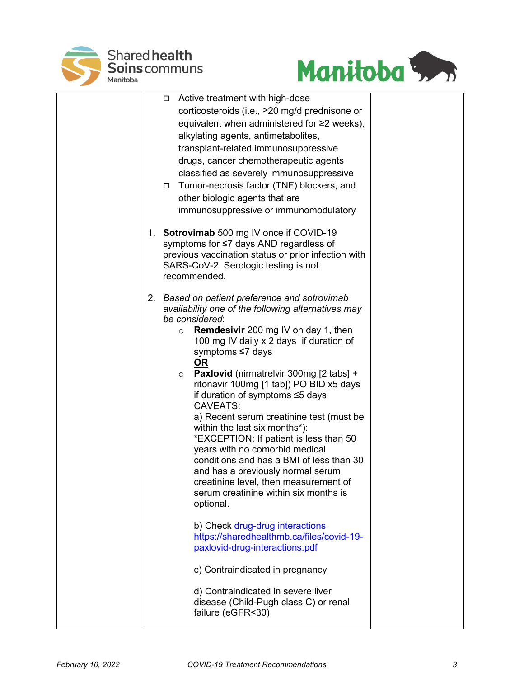



|  | Active treatment with high-dose<br>$\Box$                                                        |  |
|--|--------------------------------------------------------------------------------------------------|--|
|  | corticosteroids (i.e., ≥20 mg/d prednisone or<br>equivalent when administered for ≥2 weeks),     |  |
|  | alkylating agents, antimetabolites,                                                              |  |
|  | transplant-related immunosuppressive                                                             |  |
|  | drugs, cancer chemotherapeutic agents                                                            |  |
|  | classified as severely immunosuppressive                                                         |  |
|  | □ Tumor-necrosis factor (TNF) blockers, and                                                      |  |
|  | other biologic agents that are                                                                   |  |
|  | immunosuppressive or immunomodulatory                                                            |  |
|  |                                                                                                  |  |
|  | 1. Sotrovimab 500 mg IV once if COVID-19                                                         |  |
|  | symptoms for ≤7 days AND regardless of                                                           |  |
|  | previous vaccination status or prior infection with                                              |  |
|  | SARS-CoV-2. Serologic testing is not<br>recommended.                                             |  |
|  |                                                                                                  |  |
|  | 2. Based on patient preference and sotrovimab                                                    |  |
|  | availability one of the following alternatives may                                               |  |
|  | be considered:                                                                                   |  |
|  | <b>Remdesivir</b> 200 mg IV on day 1, then<br>$\circ$<br>100 mg IV daily x 2 days if duration of |  |
|  | symptoms ≤7 days                                                                                 |  |
|  | <b>OR</b>                                                                                        |  |
|  | <b>Paxlovid</b> (nirmatrelvir 300mg [2 tabs] +<br>$\circ$                                        |  |
|  | ritonavir 100mg [1 tab]) PO BID x5 days                                                          |  |
|  | if duration of symptoms ≤5 days                                                                  |  |
|  | <b>CAVEATS:</b><br>a) Recent serum creatinine test (must be                                      |  |
|  | within the last six months*):                                                                    |  |
|  | *EXCEPTION: If patient is less than 50                                                           |  |
|  | years with no comorbid medical                                                                   |  |
|  | conditions and has a BMI of less than 30                                                         |  |
|  | and has a previously normal serum                                                                |  |
|  | creatinine level, then measurement of                                                            |  |
|  | serum creatinine within six months is<br>optional.                                               |  |
|  |                                                                                                  |  |
|  | b) Check drug-drug interactions                                                                  |  |
|  | https://sharedhealthmb.ca/files/covid-19-                                                        |  |
|  | paxlovid-drug-interactions.pdf                                                                   |  |
|  | c) Contraindicated in pregnancy                                                                  |  |
|  | d) Contraindicated in severe liver                                                               |  |
|  | disease (Child-Pugh class C) or renal                                                            |  |
|  | failure (eGFR<30)                                                                                |  |
|  |                                                                                                  |  |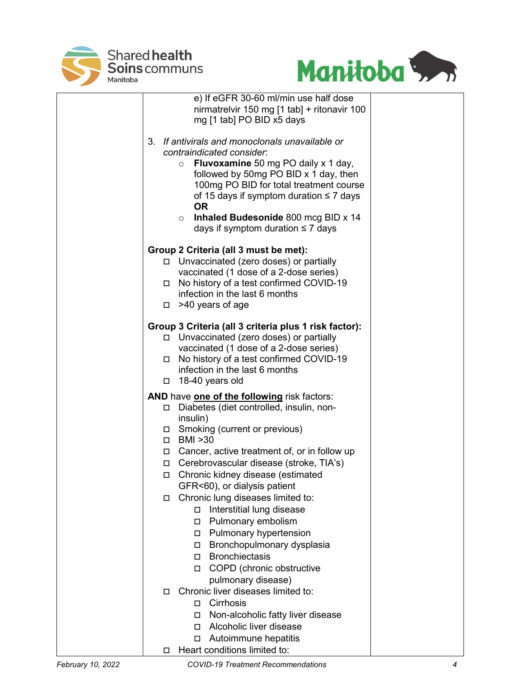



|        | e) If eGFR 30-60 ml/min use half dose                 |  |
|--------|-------------------------------------------------------|--|
|        | nirmatrelvir 150 mg [1 tab] + ritonavir 100           |  |
|        | mg [1 tab] PO BID x5 days                             |  |
|        |                                                       |  |
|        | 3. If antivirals and monoclonals unavailable or       |  |
|        | contraindicated consider.                             |  |
|        | <b>Fluvoxamine</b> 50 mg PO daily x 1 day,<br>$\circ$ |  |
|        | followed by 50mg PO BID x 1 day, then                 |  |
|        | 100mg PO BID for total treatment course               |  |
|        | of 15 days if symptom duration $\leq 7$ days          |  |
|        | <b>OR</b>                                             |  |
|        | Inhaled Budesonide 800 mcg BID x 14<br>$\circ$        |  |
|        | days if symptom duration $\leq 7$ days                |  |
|        | Group 2 Criteria (all 3 must be met):                 |  |
|        | □ Unvaccinated (zero doses) or partially              |  |
|        | vaccinated (1 dose of a 2-dose series)                |  |
|        | □ No history of a test confirmed COVID-19             |  |
|        | infection in the last 6 months                        |  |
|        | $\Box$ >40 years of age                               |  |
|        |                                                       |  |
|        | Group 3 Criteria (all 3 criteria plus 1 risk factor): |  |
|        | □ Unvaccinated (zero doses) or partially              |  |
|        | vaccinated (1 dose of a 2-dose series)                |  |
|        | □ No history of a test confirmed COVID-19             |  |
|        | infection in the last 6 months                        |  |
|        | $\Box$ 18-40 years old                                |  |
|        | AND have one of the following risk factors:           |  |
| $\Box$ | Diabetes (diet controlled, insulin, non-              |  |
|        | insulin)                                              |  |
|        | $\Box$ Smoking (current or previous)                  |  |
|        | □ BMI >30                                             |  |
|        | $\Box$ Cancer, active treatment of, or in follow up   |  |
|        | □ Cerebrovascular disease (stroke, TIA's)             |  |
|        | □ Chronic kidney disease (estimated                   |  |
|        | GFR<60), or dialysis patient                          |  |
|        | Chronic lung diseases limited to:                     |  |
|        | Interstitial lung disease<br>□                        |  |
|        | Pulmonary embolism<br>□                               |  |
|        | <b>Pulmonary hypertension</b>                         |  |
|        | Bronchopulmonary dysplasia                            |  |
|        | □ Bronchiectasis                                      |  |
|        | □ COPD (chronic obstructive                           |  |
|        | pulmonary disease)                                    |  |
| П.     | Chronic liver diseases limited to:                    |  |
|        | □ Cirrhosis                                           |  |
|        | Non-alcoholic fatty liver disease<br>□                |  |
|        | Alcoholic liver disease<br>П                          |  |
|        | Autoimmune hepatitis<br>□                             |  |
| □      | Heart conditions limited to:                          |  |
|        |                                                       |  |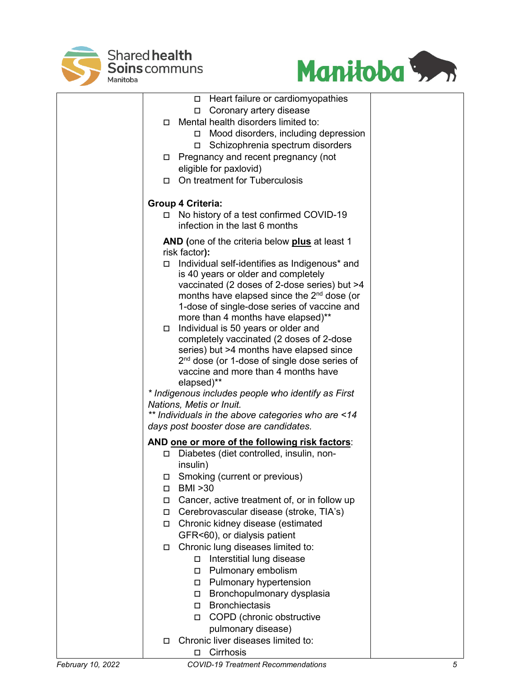



|        | □ Heart failure or cardiomyopathies                                                        |
|--------|--------------------------------------------------------------------------------------------|
|        | Coronary artery disease                                                                    |
| О.     | Mental health disorders limited to:                                                        |
|        | □ Mood disorders, including depression                                                     |
|        | □ Schizophrenia spectrum disorders                                                         |
| 0      | Pregnancy and recent pregnancy (not                                                        |
|        | eligible for paxlovid)                                                                     |
| П.     | On treatment for Tuberculosis                                                              |
|        | <b>Group 4 Criteria:</b>                                                                   |
|        | □ No history of a test confirmed COVID-19<br>infection in the last 6 months                |
|        | AND (one of the criteria below plus at least 1<br>risk factor):                            |
|        | Individual self-identifies as Indigenous* and                                              |
|        | is 40 years or older and completely                                                        |
|        | vaccinated (2 doses of 2-dose series) but >4                                               |
|        | months have elapsed since the 2 <sup>nd</sup> dose (or                                     |
|        | 1-dose of single-dose series of vaccine and                                                |
|        | more than 4 months have elapsed)**<br>Individual is 50 years or older and                  |
|        | completely vaccinated (2 doses of 2-dose                                                   |
|        | series) but >4 months have elapsed since                                                   |
|        | 2 <sup>nd</sup> dose (or 1-dose of single dose series of                                   |
|        | vaccine and more than 4 months have                                                        |
|        | elapsed)**                                                                                 |
|        | * Indigenous includes people who identify as First                                         |
|        | Nations, Metis or Inuit.                                                                   |
|        | ** Individuals in the above categories who are <14                                         |
|        | days post booster dose are candidates.                                                     |
|        | AND one or more of the following risk factors:<br>Diabetes (diet controlled, insulin, non- |
|        | insulin)                                                                                   |
| п.     | Smoking (current or previous)                                                              |
|        | <b>BMI &gt;30</b>                                                                          |
| П      | Cancer, active treatment of, or in follow up                                               |
| $\Box$ | Cerebrovascular disease (stroke, TIA's)                                                    |
| $\Box$ | Chronic kidney disease (estimated                                                          |
|        | GFR<60), or dialysis patient                                                               |
| □      | Chronic lung diseases limited to:                                                          |
|        | Interstitial lung disease<br>$\Box$                                                        |
|        | Pulmonary embolism<br>□                                                                    |
|        | Pulmonary hypertension<br>□                                                                |
|        | Bronchopulmonary dysplasia                                                                 |
|        | <b>Bronchiectasis</b><br>0                                                                 |
|        | COPD (chronic obstructive<br>П.                                                            |
|        | pulmonary disease)                                                                         |
| □      | Chronic liver diseases limited to:                                                         |

□ Cirrhosis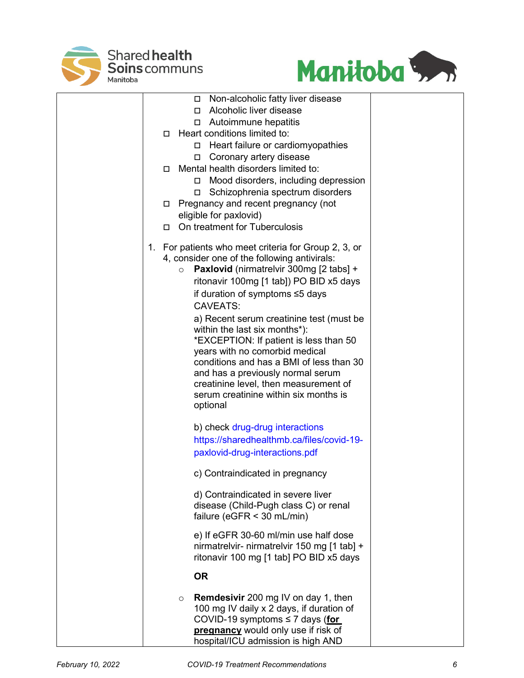



| Non-alcoholic fatty liver disease<br>0.                                    |
|----------------------------------------------------------------------------|
| Alcoholic liver disease<br>П.<br>$\Box$ Autoimmune hepatitis               |
| Heart conditions limited to:<br>$\Box$                                     |
| □ Heart failure or cardiomyopathies                                        |
| Coronary artery disease<br>□                                               |
| Mental health disorders limited to:<br>П.                                  |
| Mood disorders, including depression<br>$\Box$                             |
| Schizophrenia spectrum disorders<br>□                                      |
| Pregnancy and recent pregnancy (not<br>□                                   |
| eligible for paxlovid)                                                     |
| On treatment for Tuberculosis<br>П.                                        |
| For patients who meet criteria for Group 2, 3, or<br>1.                    |
| 4, consider one of the following antivirals:                               |
| <b>Paxlovid</b> (nirmatrelvir 300mg [2 tabs] +<br>$\circ$                  |
| ritonavir 100mg [1 tab]) PO BID x5 days                                    |
| if duration of symptoms ≤5 days                                            |
| <b>CAVEATS:</b>                                                            |
| a) Recent serum creatinine test (must be                                   |
| within the last six months*):                                              |
| *EXCEPTION: If patient is less than 50                                     |
| years with no comorbid medical<br>conditions and has a BMI of less than 30 |
| and has a previously normal serum                                          |
| creatinine level, then measurement of                                      |
| serum creatinine within six months is                                      |
| optional                                                                   |
| b) check drug-drug interactions                                            |
| https://sharedhealthmb.ca/files/covid-19-                                  |
| paxlovid-drug-interactions.pdf                                             |
|                                                                            |
| c) Contraindicated in pregnancy                                            |
| d) Contraindicated in severe liver                                         |
| disease (Child-Pugh class C) or renal                                      |
| failure ( $eGFR < 30$ mL/min)                                              |
| e) If eGFR 30-60 ml/min use half dose                                      |
| nirmatrelvir- nirmatrelvir 150 mg [1 tab] +                                |
| ritonavir 100 mg [1 tab] PO BID x5 days                                    |
| <b>OR</b>                                                                  |
| <b>Remdesivir</b> 200 mg IV on day 1, then<br>$\circ$                      |
| 100 mg IV daily x 2 days, if duration of                                   |
| COVID-19 symptoms $\leq$ 7 days (for                                       |
| pregnancy would only use if risk of                                        |
| hospital/ICU admission is high AND                                         |